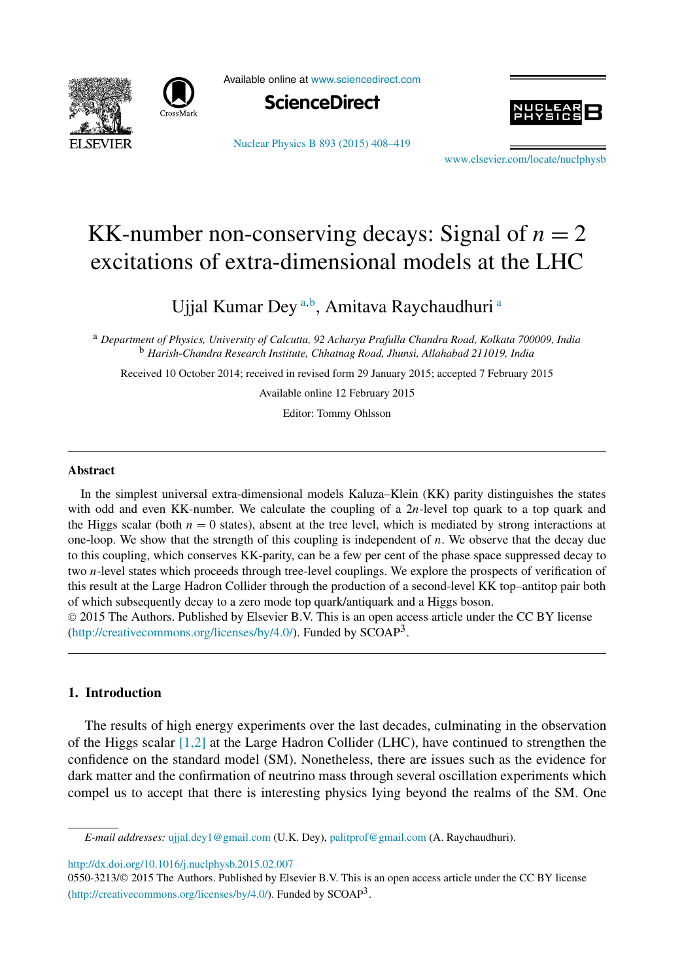



Available online at [www.sciencedirect.com](http://www.sciencedirect.com)



[Nuclear Physics B 893 \(2015\) 408–419](http://dx.doi.org/10.1016/j.nuclphysb.2015.02.007)



[www.elsevier.com/locate/nuclphysb](http://www.elsevier.com/locate/nuclphysb)

# KK-number non-conserving decays: Signal of  $n = 2$ excitations of extra-dimensional models at the LHC

Ujjal Kumar Dey<sup>a,b</sup>, Amitava Raychaudhuri<sup>a</sup>

<sup>a</sup> *Department of Physics, University of Calcutta, 92 Acharya Prafulla Chandra Road, Kolkata 700009, India* <sup>b</sup> *Harish-Chandra Research Institute, Chhatnag Road, Jhunsi, Allahabad 211019, India*

Received 10 October 2014; received in revised form 29 January 2015; accepted 7 February 2015

Available online 12 February 2015

Editor: Tommy Ohlsson

#### **Abstract**

In the simplest universal extra-dimensional models Kaluza–Klein (KK) parity distinguishes the states with odd and even KK-number. We calculate the coupling of a 2*n*-level top quark to a top quark and the Higgs scalar (both  $n = 0$  states), absent at the tree level, which is mediated by strong interactions at one-loop. We show that the strength of this coupling is independent of *n*. We observe that the decay due to this coupling, which conserves KK-parity, can be a few per cent of the phase space suppressed decay to two *n*-level states which proceeds through tree-level couplings. We explore the prospects of verification of this result at the Large Hadron Collider through the production of a second-level KK top–antitop pair both of which subsequently decay to a zero mode top quark/antiquark and a Higgs boson.

© 2015 The Authors. Published by Elsevier B.V. This is an open access article under the CC BY license [\(http://creativecommons.org/licenses/by/4.0/\)](http://creativecommons.org/licenses/by/4.0/). Funded by  $SCOAP<sup>3</sup>$ .

# **1. Introduction**

The results of high energy experiments over the last decades, culminating in the observation of the Higgs scalar [\[1,2\]](#page-10-0) at the Large Hadron Collider (LHC), have continued to strengthen the confidence on the standard model (SM). Nonetheless, there are issues such as the evidence for dark matter and the confirmation of neutrino mass through several oscillation experiments which compel us to accept that there is interesting physics lying beyond the realms of the SM. One

<http://dx.doi.org/10.1016/j.nuclphysb.2015.02.007>

*E-mail addresses:* [ujjal.dey1@gmail.com](mailto:ujjal.dey1@gmail.com) (U.K. Dey), [palitprof@gmail.com](mailto:palitprof@gmail.com) (A. Raychaudhuri).

<sup>0550-3213/</sup>© 2015 The Authors. Published by Elsevier B.V. This is an open access article under the CC BY license [\(http://creativecommons.org/licenses/by/4.0/\)](http://creativecommons.org/licenses/by/4.0/). Funded by  $SCOAP<sup>3</sup>$ .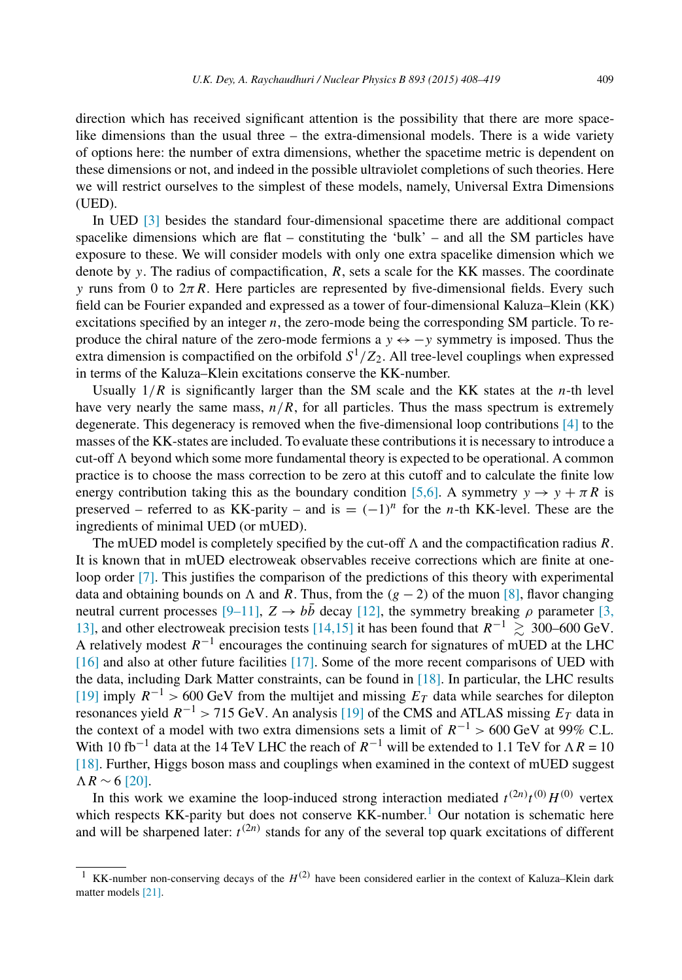direction which has received significant attention is the possibility that there are more spacelike dimensions than the usual three – the extra-dimensional models. There is a wide variety of options here: the number of extra dimensions, whether the spacetime metric is dependent on these dimensions or not, and indeed in the possible ultraviolet completions of such theories. Here we will restrict ourselves to the simplest of these models, namely, Universal Extra Dimensions (UED).

In UED [\[3\]](#page-10-0) besides the standard four-dimensional spacetime there are additional compact spacelike dimensions which are flat – constituting the 'bulk' – and all the SM particles have exposure to these. We will consider models with only one extra spacelike dimension which we denote by *y*. The radius of compactification, *R*, sets a scale for the KK masses. The coordinate *y* runs from 0 to  $2\pi R$ . Here particles are represented by five-dimensional fields. Every such field can be Fourier expanded and expressed as a tower of four-dimensional Kaluza–Klein (KK) excitations specified by an integer *n*, the zero-mode being the corresponding SM particle. To reproduce the chiral nature of the zero-mode fermions a *y* ↔ −*y* symmetry is imposed. Thus the extra dimension is compactified on the orbifold  $S^1/Z_2$ . All tree-level couplings when expressed in terms of the Kaluza–Klein excitations conserve the KK-number.

Usually  $1/R$  is significantly larger than the SM scale and the KK states at the *n*-th level have very nearly the same mass,  $n/R$ , for all particles. Thus the mass spectrum is extremely degenerate. This degeneracy is removed when the five-dimensional loop contributions [\[4\]](#page-10-0) to the masses of the KK-states are included. To evaluate these contributionsit is necessary to introduce a cut-off  $\Lambda$  beyond which some more fundamental theory is expected to be operational. A common practice is to choose the mass correction to be zero at this cutoff and to calculate the finite low energy contribution taking this as the boundary condition [\[5,6\].](#page-10-0) A symmetry  $y \rightarrow y + \pi R$  is preserved – referred to as KK-parity – and is  $= (-1)^n$  for the *n*-th KK-level. These are the ingredients of minimal UED (or mUED).

The mUED model is completely specified by the cut-off  $\Lambda$  and the compactification radius  $R$ . It is known that in mUED electroweak observables receive corrections which are finite at one-loop order [\[7\].](#page-10-0) This justifies the comparison of the predictions of this theory with experimental data and obtaining bounds on  $\Lambda$  and  $R$ . Thus, from the  $(g - 2)$  of the muon [\[8\],](#page-10-0) flavor changing neutral current processes [\[9–11\],](#page-10-0)  $Z \rightarrow b\bar{b}$  decay [\[12\],](#page-10-0) the symmetry breaking  $\rho$  parameter [\[3,](#page-10-0) [13\],](#page-10-0) and other electroweak precision tests [\[14,15\]](#page-10-0) it has been found that  $R^{-1} \ge 300-600$  GeV. A relatively modest  $R^{-1}$  encourages the continuing search for signatures of mUED at the LHC [\[16\]](#page-10-0) and also at other future facilities [\[17\].](#page-11-0) Some of the more recent comparisons of UED with the data, including Dark Matter constraints, can be found in [\[18\].](#page-11-0) In particular, the LHC results [\[19\]](#page-11-0) imply  $R^{-1}$  > 600 GeV from the multijet and missing  $E_T$  data while searches for dilepton resonances yield  $R^{-1}$  > 715 GeV. An analysis [\[19\]](#page-11-0) of the CMS and ATLAS missing  $E_T$  data in the context of a model with two extra dimensions sets a limit of  $R^{-1} > 600$  GeV at 99% C.L. With 10 fb<sup>-1</sup> data at the 14 TeV LHC the reach of  $R^{-1}$  will be extended to 1.1 TeV for  $\Lambda R = 10$ [\[18\].](#page-11-0) Further, Higgs boson mass and couplings when examined in the context of mUED suggest  $\Lambda R \sim 6$  [\[20\].](#page-11-0)

In this work we examine the loop-induced strong interaction mediated  $t^{(2n)}t^{(0)}H^{(0)}$  vertex which respects KK-parity but does not conserve  $KK$ -number.<sup>1</sup> Our notation is schematic here and will be sharpened later:  $t^{(2n)}$  stands for any of the several top quark excitations of different

<sup>&</sup>lt;sup>1</sup> KK-number non-conserving decays of the  $H^{(2)}$  have been considered earlier in the context of Kaluza–Klein dark matter models [\[21\].](#page-11-0)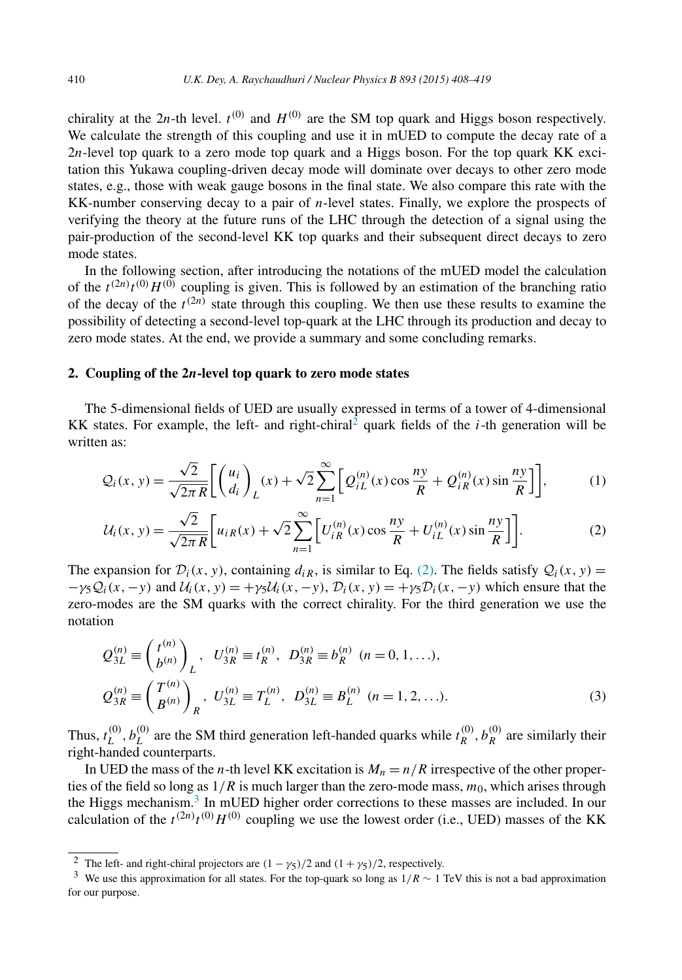<span id="page-2-0"></span>chirality at the 2*n*-th level.  $t^{(0)}$  and  $H^{(0)}$  are the SM top quark and Higgs boson respectively. We calculate the strength of this coupling and use it in mUED to compute the decay rate of a 2*n*-level top quark to a zero mode top quark and a Higgs boson. For the top quark KK excitation this Yukawa coupling-driven decay mode will dominate over decays to other zero mode states, e.g., those with weak gauge bosons in the final state. We also compare this rate with the KK-number conserving decay to a pair of *n*-level states. Finally, we explore the prospects of verifying the theory at the future runs of the LHC through the detection of a signal using the pair-production of the second-level KK top quarks and their subsequent direct decays to zero mode states.

In the following section, after introducing the notations of the mUED model the calculation of the  $t^{(2n)}t^{(0)}H^{(0)}$  coupling is given. This is followed by an estimation of the branching ratio of the *t*<sup>2</sup>  $\mu$   $\Omega$  state through this coupling. We then use these results to examine the possibility of detecting a second-level top-quark at the LHC through its production and decay to zero mode states. At the end, we provide a summary and some concluding remarks.

### **2. Coupling of the 2***n***-level top quark to zero mode states**

The 5-dimensional fields of UED are usually expressed in terms of a tower of 4-dimensional KK states. For example, the left- and right-chiral<sup>2</sup> quark fields of the *i*-th generation will be written as:

$$
Q_i(x, y) = \frac{\sqrt{2}}{\sqrt{2\pi R}} \left[ \binom{u_i}{d_i} L(x) + \sqrt{2} \sum_{n=1}^{\infty} \left[ Q_{iL}^{(n)}(x) \cos \frac{ny}{R} + Q_{iR}^{(n)}(x) \sin \frac{ny}{R} \right] \right],
$$
 (1)

$$
U_i(x, y) = \frac{\sqrt{2}}{\sqrt{2\pi R}} \left[ u_{iR}(x) + \sqrt{2} \sum_{n=1}^{\infty} \left[ U_{iR}^{(n)}(x) \cos \frac{ny}{R} + U_{iL}^{(n)}(x) \sin \frac{ny}{R} \right] \right].
$$
 (2)

The expansion for  $\mathcal{D}_i(x, y)$ , containing  $d_{iR}$ , is similar to Eq. (2). The fields satisfy  $\mathcal{Q}_i(x, y)$  =  $-\gamma_5 Q_i(x, -y)$  and  $U_i(x, y) = +\gamma_5 U_i(x, -y)$ ,  $\mathcal{D}_i(x, y) = +\gamma_5 \mathcal{D}_i(x, -y)$  which ensure that the zero-modes are the SM quarks with the correct chirality. For the third generation we use the notation

$$
Q_{3L}^{(n)} \equiv \begin{pmatrix} t^{(n)} \\ b^{(n)} \end{pmatrix}_L, U_{3R}^{(n)} \equiv t_R^{(n)}, D_{3R}^{(n)} \equiv b_R^{(n)} \ (n = 0, 1, \ldots),
$$
  
\n
$$
Q_{3R}^{(n)} \equiv \begin{pmatrix} T^{(n)} \\ B^{(n)} \end{pmatrix}_R, U_{3L}^{(n)} \equiv T_L^{(n)}, D_{3L}^{(n)} \equiv B_L^{(n)} \ (n = 1, 2, \ldots).
$$
\n(3)

Thus,  $t_L^{(0)}$ ,  $b_L^{(0)}$  are the SM third generation left-handed quarks while  $t_R^{(0)}$ ,  $b_R^{(0)}$  are similarly their right-handed counterparts.

In UED the mass of the *n*-th level KK excitation is  $M_n = n/R$  irrespective of the other properties of the field so long as  $1/R$  is much larger than the zero-mode mass,  $m_0$ , which arises through the Higgs mechanism.<sup>3</sup> In mUED higher order corrections to these masses are included. In our calculation of the  $t^{(2n)}t^{(0)}H^{(0)}$  coupling we use the lowest order (i.e., UED) masses of the KK

<sup>&</sup>lt;sup>2</sup> The left- and right-chiral projectors are  $(1 - \gamma_5)/2$  and  $(1 + \gamma_5)/2$ , respectively.

<sup>3</sup> We use this approximation for all states. For the top-quark so long as <sup>1</sup>*/R* <sup>∼</sup> 1 TeV this is not <sup>a</sup> bad approximation for our purpose.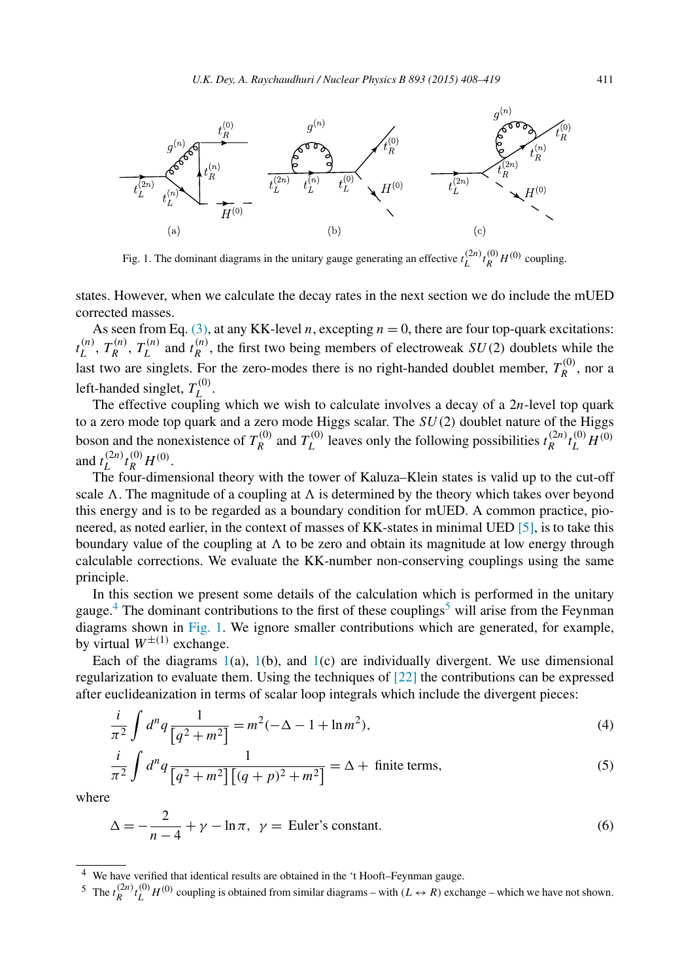<span id="page-3-0"></span>

Fig. 1. The dominant diagrams in the unitary gauge generating an effective  $t_L^{(2n)} t_R^{(0)} H^{(0)}$  coupling.

states. However, when we calculate the decay rates in the next section we do include the mUED corrected masses.

As seen from Eq. [\(3\),](#page-2-0) at any KK-level *n*, excepting  $n = 0$ , there are four top-quark excitations:  $t_L^{(n)}$ ,  $T_R^{(n)}$ ,  $T_L^{(n)}$  and  $t_R^{(n)}$ , the first two being members of electroweak *SU(2)* doublets while the last two are singlets. For the zero-modes there is no right-handed doublet member,  $T_R^{(0)}$ , nor a left-handed singlet,  $T_L^{(0)}$ .

The effective coupling which we wish to calculate involves a decay of a 2*n*-level top quark to a zero mode top quark and a zero mode Higgs scalar. The *SU(*2*)* doublet nature of the Higgs boson and the nonexistence of  $T_R^{(0)}$  and  $T_L^{(0)}$  leaves only the following possibilities  $t_R^{(2n)} t_L^{(0)} H^{(0)}$ and  $t_L^{(2n)} t_R^{(0)} H^{(0)}$ .

The four-dimensional theory with the tower of Kaluza–Klein states is valid up to the cut-off scale  $\Lambda$ . The magnitude of a coupling at  $\Lambda$  is determined by the theory which takes over beyond this energy and is to be regarded as a boundary condition for mUED. A common practice, pioneered, as noted earlier, in the context of masses of KK-states in minimal UED [\[5\],](#page-10-0) is to take this boundary value of the coupling at  $\Lambda$  to be zero and obtain its magnitude at low energy through calculable corrections. We evaluate the KK-number non-conserving couplings using the same principle.

In this section we present some details of the calculation which is performed in the unitary gauge.<sup>4</sup> The dominant contributions to the first of these couplings<sup>5</sup> will arise from the Feynman diagrams shown in Fig. 1. We ignore smaller contributions which are generated, for example, by virtual  $W^{\pm(1)}$  exchange.

Each of the diagrams  $1(a)$ ,  $1(b)$ , and  $1(c)$  are individually divergent. We use dimensional regularization to evaluate them. Using the techniques of [\[22\]](#page-11-0) the contributions can be expressed after euclideanization in terms of scalar loop integrals which include the divergent pieces:

$$
\frac{i}{\pi^2} \int d^n q \frac{1}{\left[q^2 + m^2\right]} = m^2(-\Delta - 1 + \ln m^2),\tag{4}
$$

$$
\frac{i}{\pi^2} \int d^n q \frac{1}{\left[q^2 + m^2\right] \left[(q+p)^2 + m^2\right]} = \Delta + \text{ finite terms},\tag{5}
$$

where

$$
\Delta = -\frac{2}{n-4} + \gamma - \ln \pi, \ \gamma = \text{Euler's constant.} \tag{6}
$$

We have verified that identical results are obtained in the 't Hooft–Feynman gauge.

<sup>&</sup>lt;sup>5</sup> The  $t_R^{(2n)}t_L^{(0)}$  *H*<sup>(0)</sup> coupling is obtained from similar diagrams – with  $(L \leftrightarrow R)$  exchange – which we have not shown.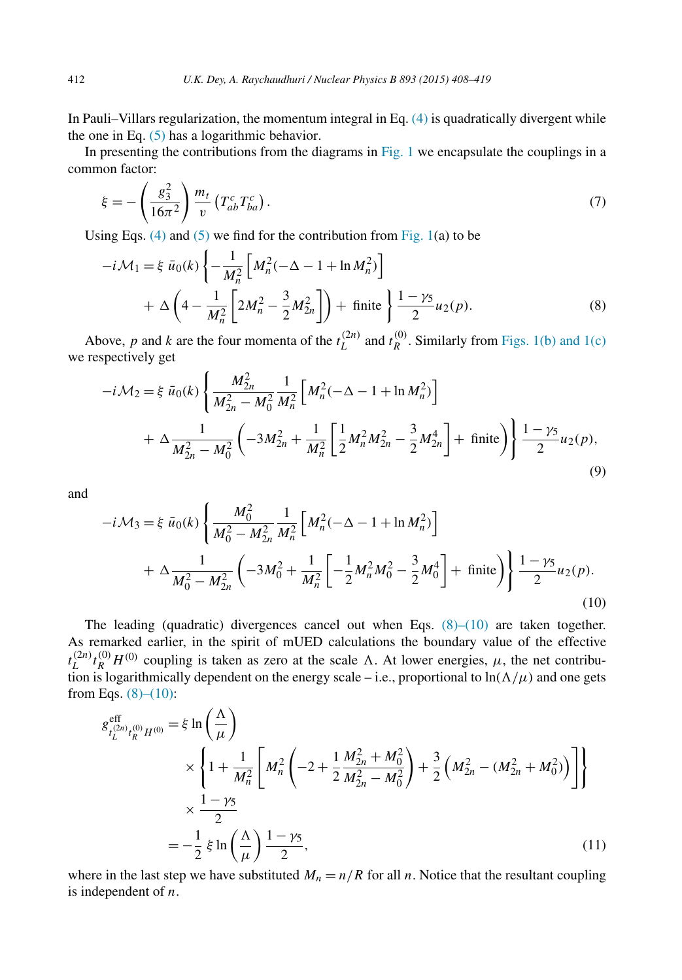<span id="page-4-0"></span>In Pauli–Villars regularization, the momentum integral in Eq. [\(4\)](#page-3-0) is quadratically divergent while the one in Eq.  $(5)$  has a logarithmic behavior.

In presenting the contributions from the diagrams in  $Fig. 1$  we encapsulate the couplings in a common factor:

$$
\xi = -\left(\frac{g_3^2}{16\pi^2}\right) \frac{m_t}{v} \left(T_{ab}^c T_{ba}^c\right). \tag{7}
$$

Using Eqs. [\(4\)](#page-3-0) and [\(5\)](#page-3-0) we find for the contribution from Fig.  $1(a)$  to be

$$
-i\mathcal{M}_1 = \xi \bar{u}_0(k) \left\{ -\frac{1}{M_n^2} \left[ M_n^2(-\Delta - 1 + \ln M_n^2) \right] + \Delta \left( 4 - \frac{1}{M_n^2} \left[ 2M_n^2 - \frac{3}{2}M_{2n}^2 \right] \right) + \text{finite } \right\} \frac{1 - \gamma_5}{2} u_2(p).
$$
 (8)

Above, *p* and *k* are the four momenta of the  $t_L^{(2n)}$  and  $t_R^{(0)}$ . Similarly from [Figs. 1\(b\)](#page-3-0) and 1(c) we respectively get

$$
-i\mathcal{M}_2 = \xi \bar{u}_0(k) \left\{ \frac{M_{2n}^2}{M_{2n}^2 - M_0^2} \frac{1}{M_n^2} \left[ M_n^2(-\Delta - 1 + \ln M_n^2) \right] + \Delta \frac{1}{M_{2n}^2 - M_0^2} \left( -3M_{2n}^2 + \frac{1}{M_n^2} \left[ \frac{1}{2} M_n^2 M_{2n}^2 - \frac{3}{2} M_{2n}^4 \right] + \text{finite} \right) \right\} \frac{1 - \gamma_5}{2} u_2(p),
$$
\n(9)

and

$$
-i\mathcal{M}_3 = \xi \bar{u}_0(k) \left\{ \frac{M_0^2}{M_0^2 - M_{2n}^2} \frac{1}{M_n^2} \left[ M_n^2(-\Delta - 1 + \ln M_n^2) \right] + \Delta \frac{1}{M_0^2 - M_{2n}^2} \left( -3M_0^2 + \frac{1}{M_n^2} \left[ -\frac{1}{2} M_n^2 M_0^2 - \frac{3}{2} M_0^4 \right] + \text{finite} \right) \right\} \frac{1 - \gamma_5}{2} u_2(p). \tag{10}
$$

The leading (quadratic) divergences cancel out when Eqs.  $(8)$ – $(10)$  are taken together. As remarked earlier, in the spirit of mUED calculations the boundary value of the effective  $t_L^{(2n)} t_R^{(0)} H^{(0)}$  coupling is taken as zero at the scale  $\Lambda$ . At lower energies,  $\mu$ , the net contribution is logarithmically dependent on the energy scale – i.e., proportional to  $\ln(\Lambda/\mu)$  and one gets from Eqs.  $(8)–(10)$ :

$$
g_{t_L^{(2n)}t_R^{(0)}H^{(0)}}^{eff} = \xi \ln\left(\frac{\Lambda}{\mu}\right)
$$
  
\n
$$
\times \left\{1 + \frac{1}{M_n^2} \left[M_n^2 \left(-2 + \frac{1}{2}\frac{M_{2n}^2 + M_0^2}{M_{2n}^2 - M_0^2}\right) + \frac{3}{2}\left(M_{2n}^2 - (M_{2n}^2 + M_0^2)\right)\right]\right\}
$$
  
\n
$$
\times \frac{1 - \gamma_5}{2}
$$
  
\n
$$
= -\frac{1}{2} \xi \ln\left(\frac{\Lambda}{\mu}\right) \frac{1 - \gamma_5}{2},
$$
\n(11)

where in the last step we have substituted  $M_n = n/R$  for all *n*. Notice that the resultant coupling is independent of *n*.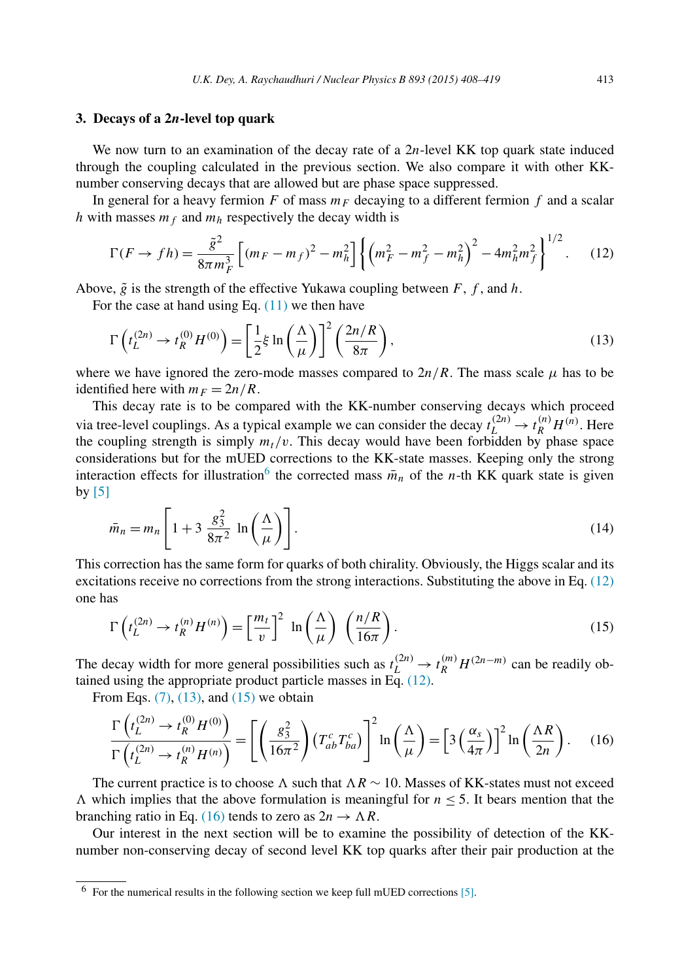#### **3. Decays of a 2***n***-level top quark**

We now turn to an examination of the decay rate of a 2*n*-level KK top quark state induced through the coupling calculated in the previous section. We also compare it with other KKnumber conserving decays that are allowed but are phase space suppressed.

In general for a heavy fermion *F* of mass  $m_F$  decaying to a different fermion *f* and a scalar *h* with masses  $m_f$  and  $m_h$  respectively the decay width is

$$
\Gamma(F \to fh) = \frac{\tilde{g}^2}{8\pi m_F^3} \left[ (m_F - m_f)^2 - m_h^2 \right] \left\{ \left( m_F^2 - m_f^2 - m_h^2 \right)^2 - 4m_h^2 m_f^2 \right\}^{1/2}.
$$
 (12)

Above,  $\tilde{g}$  is the strength of the effective Yukawa coupling between  $F$ ,  $f$ , and  $h$ .

For the case at hand using Eq.  $(11)$  we then have

$$
\Gamma\left(t_L^{(2n)} \to t_R^{(0)} H^{(0)}\right) = \left[\frac{1}{2}\xi \ln\left(\frac{\Lambda}{\mu}\right)\right]^2 \left(\frac{2n/R}{8\pi}\right),\tag{13}
$$

where we have ignored the zero-mode masses compared to  $2n/R$ . The mass scale  $\mu$  has to be identified here with  $m_F = 2n/R$ .

This decay rate is to be compared with the KK-number conserving decays which proceed via tree-level couplings. As a typical example we can consider the decay  $t_L^{(2n)} \to t_R^{(n)} H^{(n)}$ . Here the coupling strength is simply  $m_t/v$ . This decay would have been forbidden by phase space considerations but for the mUED corrections to the KK-state masses. Keeping only the strong interaction effects for illustration<sup>6</sup> the corrected mass  $\bar{m}_n$  of the *n*-th KK quark state is given by  $[5]$ 

$$
\bar{m}_n = m_n \left[ 1 + 3 \frac{g_3^2}{8\pi^2} \ln\left(\frac{\Lambda}{\mu}\right) \right].
$$
\n(14)

This correction has the same form for quarks of both chirality. Obviously, the Higgs scalar and its excitations receive no corrections from the strong interactions. Substituting the above in Eq. (12) one has

$$
\Gamma\left(t_L^{(2n)} \to t_R^{(n)} H^{(n)}\right) = \left[\frac{m_t}{v}\right]^2 \ln\left(\frac{\Lambda}{\mu}\right) \left(\frac{n/R}{16\pi}\right). \tag{15}
$$

The decay width for more general possibilities such as  $t_L^{(2n)} \to t_R^{(m)} H^{(2n-m)}$  can be readily obtained using the appropriate product particle masses in Eq. (12).

From Eqs.  $(7)$ ,  $(13)$ , and  $(15)$  we obtain

$$
\frac{\Gamma\left(t_L^{(2n)} \to t_R^{(0)} H^{(0)}\right)}{\Gamma\left(t_L^{(2n)} \to t_R^{(n)} H^{(n)}\right)} = \left[ \left(\frac{g_3^2}{16\pi^2}\right) \left(T_{ab}^c T_{ba}^c\right) \right]^2 \ln\left(\frac{\Lambda}{\mu}\right) = \left[3 \left(\frac{\alpha_s}{4\pi}\right)\right]^2 \ln\left(\frac{\Lambda R}{2n}\right). \tag{16}
$$

The current practice is to choose  $\Lambda$  such that  $\Lambda R \sim 10$ . Masses of KK-states must not exceed  $\Lambda$  which implies that the above formulation is meaningful for  $n \leq 5$ . It bears mention that the branching ratio in Eq. (16) tends to zero as  $2n \rightarrow \Lambda R$ .

Our interest in the next section will be to examine the possibility of detection of the KKnumber non-conserving decay of second level KK top quarks after their pair production at the

 $6$  For the numerical results in the following section we keep full mUED corrections [\[5\].](#page-10-0)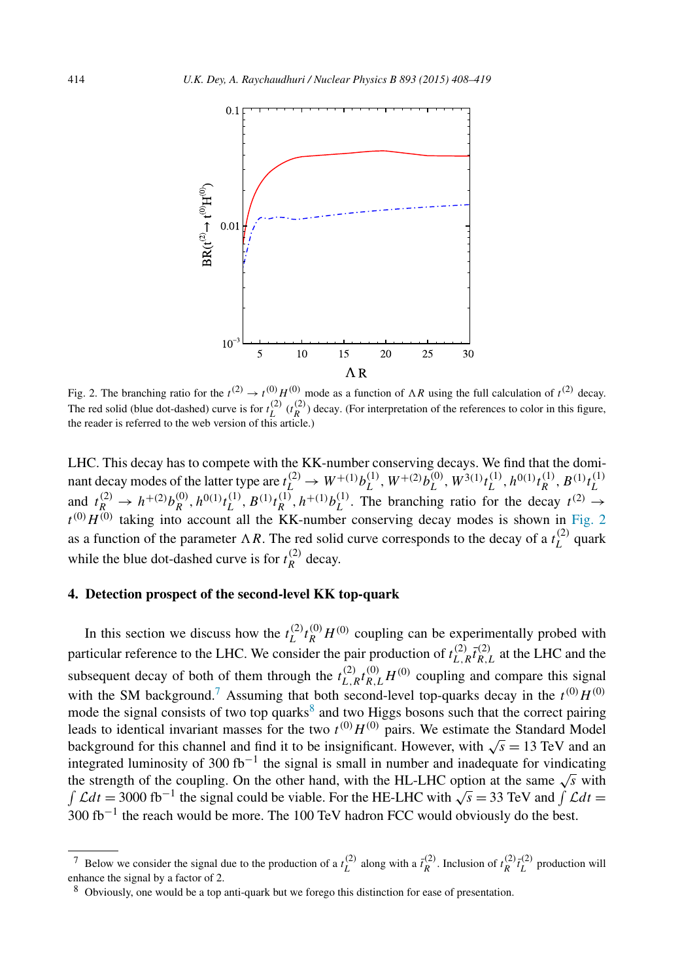

Fig. 2. The branching ratio for the  $t^{(2)} \rightarrow t^{(0)} H^{(0)}$  mode as a function of  $\Lambda R$  using the full calculation of  $t^{(2)}$  decay. The red solid (blue dot-dashed) curve is for  $t_L^{(2)}$  ( $t_R^{(2)}$ ) decay. (For interpretation of the references to color in this figure, the reader is referred to the web version of this article.)

LHC. This decay has to compete with the KK-number conserving decays. We find that the dominant decay modes of the latter type are  $t_L^{(2)} \to W^{+(1)} b_L^{(1)}$ ,  $W^{+(2)} b_L^{(0)}$ ,  $W^{3(1)} t_L^{(1)}$ ,  $h^{0(1)} t_R^{(1)}$ ,  $B^{(1)} t_L^{(1)}$ *L* and  $t_R^{(2)} \to h^{+(2)} b_R^{(0)}$ ,  $h^{0(1)} t_L^{(1)}$ ,  $B^{(1)} t_R^{(1)}$ ,  $h^{+(1)} b_L^{(1)}$ . The branching ratio for the decay  $t^{(2)} \to$  $t^{(0)}H^{(0)}$  taking into account all the KK-number conserving decay modes is shown in Fig. 2 as a function of the parameter  $\Lambda R$ . The red solid curve corresponds to the decay of a  $t_L^{(2)}$  quark while the blue dot-dashed curve is for  $t_R^{(2)}$  decay.

## **4. Detection prospect of the second-level KK top-quark**

In this section we discuss how the  $t_L^{(2)} t_R^{(0)} H^{(0)}$  coupling can be experimentally probed with particular reference to the LHC. We consider the pair production of  $t_{L,R}^{(2)} \bar{t}_{R,L}^{(2)}$  at the LHC and the subsequent decay of both of them through the  $t_{L,R}^{(2)} t_{R,L}^{(0)} H^{(0)}$  coupling and compare this signal with the SM background.<sup>7</sup> Assuming that both second-level top-quarks decay in the  $t^{(0)}H^{(0)}$ mode the signal consists of two top quarks<sup>8</sup> and two Higgs bosons such that the correct pairing leads to identical invariant masses for the two  $t^{(0)}H^{(0)}$  pairs. We estimate the Standard Model background for this channel and find it to be insignificant. However, with  $\sqrt{s} = 13$  TeV and an integrated luminosity of 300 fb<sup>-1</sup> the signal is small in number and inadequate for vindicating the strength of the coupling. On the other hand, with the HL-LHC option at the same  $\sqrt{s}$  with Let  $L$  and  $L$  the signal could be viable. For the HE-LHC with  $\sqrt{s} = 33$  TeV and  $\int \mathcal{L} dt =$ 300 fb<sup>-1</sup> the reach would be more. The 100 TeV hadron FCC would obviously do the best.

<sup>&</sup>lt;sup>7</sup> Below we consider the signal due to the production of a  $t_L^{(2)}$  along with a  $\bar{t}_R^{(2)}$ . Inclusion of  $t_R^{(2)}\bar{t}_L^{(2)}$  production will enhance the signal by a factor of 2.

<sup>8</sup> Obviously, one would be a top anti-quark but we forego this distinction for ease of presentation.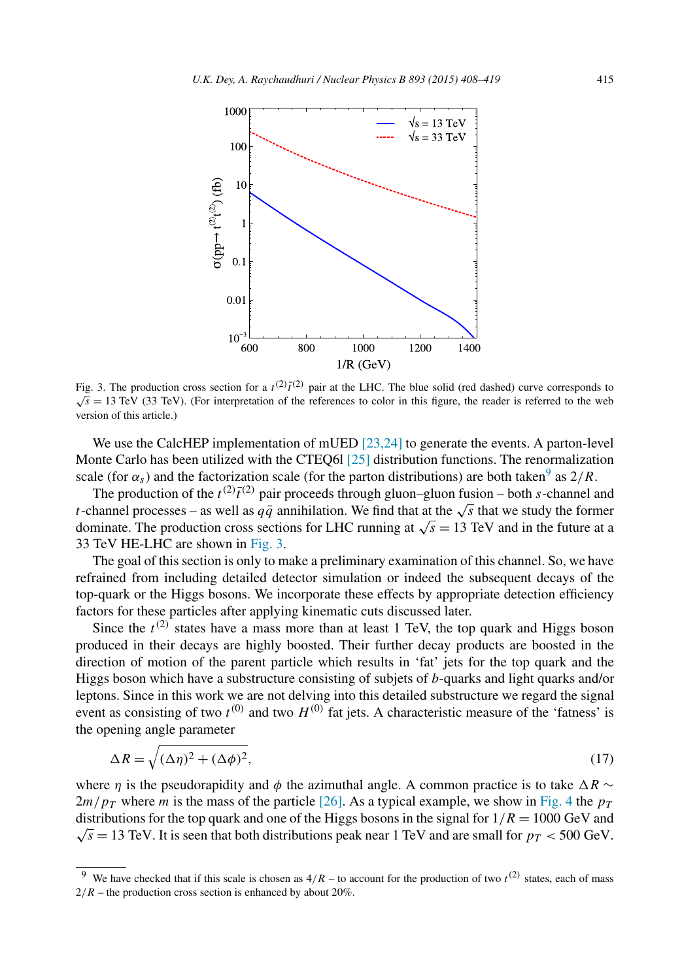

Fig. 3. The production cross section for a  $t^{(2)}t^{(2)}$  pair at the LHC. The blue solid (red dashed) curve corresponds to  $\sqrt{s}$  = 13 TeV (33 TeV). (For interpretation of the references to color in this figure, the reader is referred to the web version of this article.)

We use the CalcHEP implementation of mUED [\[23,24\]](#page-11-0) to generate the events. A parton-level Monte Carlo has been utilized with the CTEQ61 [\[25\]](#page-11-0) distribution functions. The renormalization scale (for  $\alpha_s$ ) and the factorization scale (for the parton distributions) are both taken<sup>9</sup> as  $2/R$ .

The production of the  $t^{(2)}\bar{t}^{(2)}$  pair proceeds through gluon–gluon fusion – both *s*-channel and *t*-channel processes – as well as  $q\bar{q}$  annihilation. We find that at the √*s* that we study the former dominate. The production cross sections for LHC running at  $\sqrt{s} = 13$  TeV and in the future at a 33 TeV HE-LHC are shown in Fig. 3.

The goal of this section is only to make a preliminary examination of this channel. So, we have refrained from including detailed detector simulation or indeed the subsequent decays of the top-quark or the Higgs bosons. We incorporate these effects by appropriate detection efficiency factors for these particles after applying kinematic cuts discussed later.

Since the  $t^{(2)}$  states have a mass more than at least 1 TeV, the top quark and Higgs boson produced in their decays are highly boosted. Their further decay products are boosted in the direction of motion of the parent particle which results in 'fat' jets for the top quark and the Higgs boson which have a substructure consisting of subjets of *b*-quarks and light quarks and/or leptons. Since in this work we are not delving into this detailed substructure we regard the signal event as consisting of two  $t^{(0)}$  and two  $H^{(0)}$  fat jets. A characteristic measure of the 'fatness' is the opening angle parameter

$$
\Delta R = \sqrt{(\Delta \eta)^2 + (\Delta \phi)^2},\tag{17}
$$

where *η* is the pseudorapidity and  $\phi$  the azimuthal angle. A common practice is to take  $\Delta R \sim$  $2m/p<sub>T</sub>$  where *m* is the mass of the particle [\[26\].](#page-11-0) As a typical example, we show in [Fig. 4](#page-8-0) the  $p<sub>T</sub>$ distributions for the top quark and one of the Higgs bosons in the signal for  $1/R = 1000$  GeV and  $\sqrt{s}$  = 13 TeV. It is seen that both distributions peak near 1 TeV and are small for  $p_T < 500$  GeV.

<sup>&</sup>lt;sup>9</sup> We have checked that if this scale is chosen as  $4/R$  – to account for the production of two  $t^{(2)}$  states, each of mass  $2/R$  – the production cross section is enhanced by about 20%.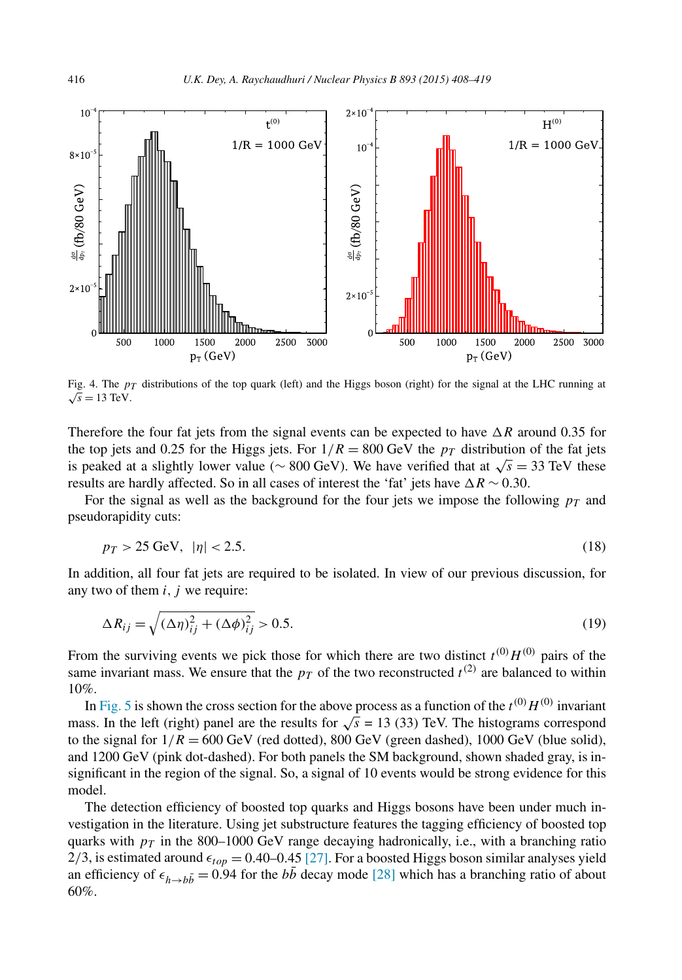<span id="page-8-0"></span>

Fig. 4. The  $p_T$  distributions of the top quark (left) and the Higgs boson (right) for the signal at the LHC running at  $\sqrt{s} = 13$  TeV.

Therefore the four fat jets from the signal events can be expected to have  $\Delta R$  around 0.35 for the top jets and 0.25 for the Higgs jets. For  $1/R = 800$  GeV the  $p<sub>T</sub>$  distribution of the fat jets is peaked at a slightly lower value ( $\sim 800 \text{ GeV}$ ). We have verified that at  $\sqrt{s} = 33 \text{ TeV}$  these results are hardly affected. So in all cases of interest the 'fat' jets have  $\Delta R \sim 0.30$ .

For the signal as well as the background for the four jets we impose the following  $p_T$  and pseudorapidity cuts:

$$
p_T > 25 \text{ GeV}, \ |\eta| < 2.5. \tag{18}
$$

In addition, all four fat jets are required to be isolated. In view of our previous discussion, for any two of them *i, j* we require:

$$
\Delta R_{ij} = \sqrt{\left(\Delta \eta\right)^2_{ij} + \left(\Delta \phi\right)^2_{ij}} > 0.5. \tag{19}
$$

From the surviving events we pick those for which there are two distinct  $t^{(0)}H^{(0)}$  pairs of the same invariant mass. We ensure that the  $p_T$  of the two reconstructed  $t^{(2)}$  are balanced to within 10%.

In [Fig. 5](#page-9-0) is shown the cross section for the above process as a function of the  $t^{(0)}H^{(0)}$  invariant mass. In the left (right) panel are the results for  $\sqrt{s}$  = 13 (33) TeV. The histograms correspond to the signal for  $1/R = 600 \text{ GeV}$  (red dotted), 800 GeV (green dashed), 1000 GeV (blue solid), and 1200 GeV (pink dot-dashed). For both panels the SM background, shown shaded gray, is insignificant in the region of the signal. So, a signal of 10 events would be strong evidence for this model.

The detection efficiency of boosted top quarks and Higgs bosons have been under much investigation in the literature. Using jet substructure features the tagging efficiency of boosted top quarks with  $p_T$  in the 800–1000 GeV range decaying hadronically, i.e., with a branching ratio 2/3, is estimated around  $\epsilon_{top}$  = 0.40–0.45 [\[27\].](#page-11-0) For a boosted Higgs boson similar analyses yield an efficiency of  $\epsilon_{h\rightarrow b\bar{b}} = 0.94$  for the  $b\bar{b}$  decay mode [\[28\]](#page-11-0) which has a branching ratio of about 60%.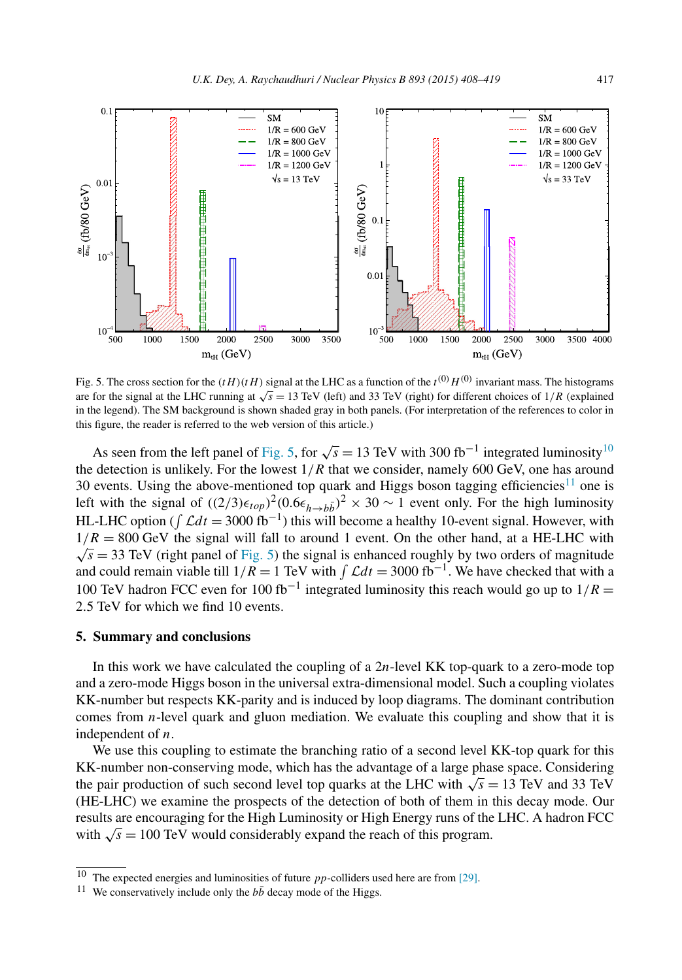<span id="page-9-0"></span>

Fig. 5. The cross section for the  $(tH)(tH)$  signal at the LHC as a function of the  $t^{(0)}H^{(0)}$  invariant mass. The histograms are for the signal at the LHC running at  $\sqrt{s} = 13$  TeV (left) and 33 TeV (right) for different choices of  $1/R$  (explained in the legend). The SM background is shown shaded gray in both panels. (For interpretation of the references to color in this figure, the reader is referred to the web version of this article.)

As seen from the left panel of Fig. 5, for  $\sqrt{s}$  = 13 TeV with 300 fb<sup>-1</sup> integrated luminosity<sup>10</sup> the detection is unlikely. For the lowest  $1/R$  that we consider, namely 600 GeV, one has around 30 events. Using the above-mentioned top quark and Higgs boson tagging efficiencies<sup>11</sup> one is left with the signal of  $((2/3)\epsilon_{top})^2 (0.6\epsilon_{h\to b\bar{b}})^2 \times 30 \sim 1$  event only. For the high luminosity HL-LHC option ( $\int \mathcal{L} dt = 3000 \text{ fb}^{-1}$ ) this will become a healthy 10-event signal. However, with  $1/R = 800$  GeV the signal will fall to around 1 event. On the other hand, at a HE-LHC with  $\sqrt{s}$  = 33 TeV (right panel of Fig. 5) the signal is enhanced roughly by two orders of magnitude and could remain viable till  $1/R = 1$  TeV with  $\int \mathcal{L}dt = 3000$  fb<sup>-1</sup>. We have checked that with a 100 TeV hadron FCC even for 100 fb<sup>-1</sup> integrated luminosity this reach would go up to  $1/R =$ 2*.*5 TeV for which we find 10 events.

### **5. Summary and conclusions**

In this work we have calculated the coupling of a 2*n*-level KK top-quark to a zero-mode top and a zero-mode Higgs boson in the universal extra-dimensional model. Such a coupling violates KK-number but respects KK-parity and is induced by loop diagrams. The dominant contribution comes from *n*-level quark and gluon mediation. We evaluate this coupling and show that it is independent of *n*.

We use this coupling to estimate the branching ratio of a second level KK-top quark for this KK-number non-conserving mode, which has the advantage of a large phase space. Considering the pair production of such second level top quarks at the LHC with  $\sqrt{s} = 13$  TeV and 33 TeV (HE-LHC) we examine the prospects of the detection of both of them in this decay mode. Our results are encouraging for the High Luminosity or High Energy runs of the LHC. A hadron FCC with  $\sqrt{s} = 100$  TeV would considerably expand the reach of this program.

<sup>10</sup> The expected energies and luminosities of future *pp*-colliders used here are from [\[29\].](#page-11-0)

<sup>&</sup>lt;sup>11</sup> We conservatively include only the  $b\bar{b}$  decay mode of the Higgs.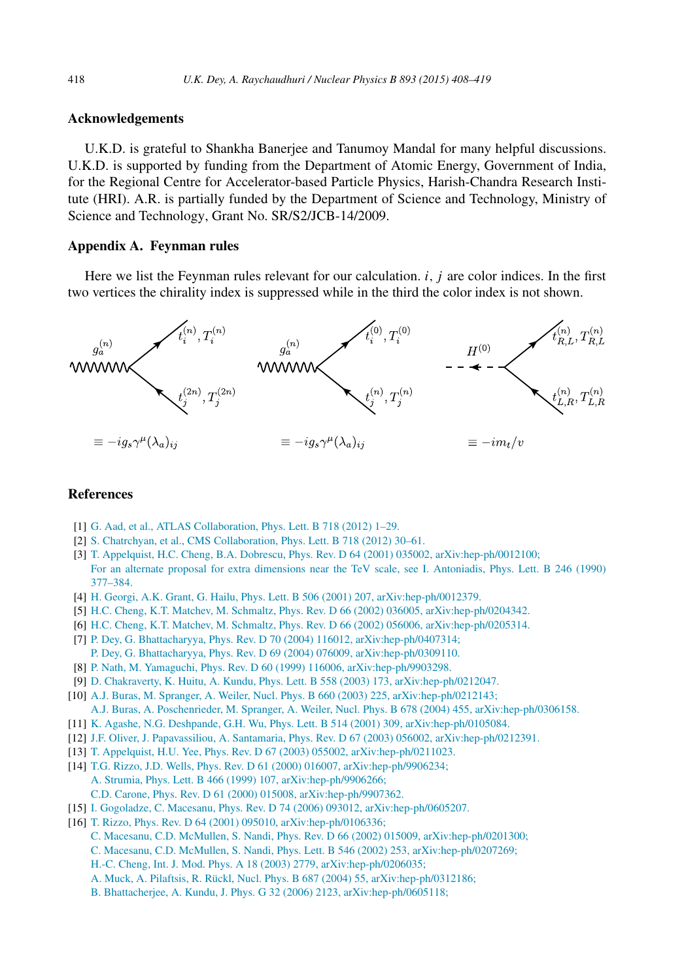# <span id="page-10-0"></span>**Acknowledgements**

U.K.D. is grateful to Shankha Banerjee and Tanumoy Mandal for many helpful discussions. U.K.D. is supported by funding from the Department of Atomic Energy, Government of India, for the Regional Centre for Accelerator-based Particle Physics, Harish-Chandra Research Institute (HRI). A.R. is partially funded by the Department of Science and Technology, Ministry of Science and Technology, Grant No. SR/S2/JCB-14/2009.

## **Appendix A. Feynman rules**

Here we list the Feynman rules relevant for our calculation. *i, j* are color indices. In the first two vertices the chirality index is suppressed while in the third the color index is not shown.



#### **References**

- [1] G. Aad, et al., ATLAS [Collaboration,](http://refhub.elsevier.com/S0550-3213(15)00053-X/bib41544C4153s1) Phys. Lett. B 718 (2012) 1–29.
- [2] S. Chatrchyan, et al., CMS [Collaboration,](http://refhub.elsevier.com/S0550-3213(15)00053-X/bib434D53s1) Phys. Lett. B 718 (2012) 30–61.
- [3] T. Appelquist, H.C. Cheng, B.A. Dobrescu, Phys. Rev. D 64 (2001) 035002, [arXiv:hep-ph/0012100;](http://refhub.elsevier.com/S0550-3213(15)00053-X/bib616364s1) For an alternate proposal for extra dimensions near the TeV scale, see I. [Antoniadis,](http://refhub.elsevier.com/S0550-3213(15)00053-X/bib616364s2) Phys. Lett. B 246 (1990) [377–384.](http://refhub.elsevier.com/S0550-3213(15)00053-X/bib616364s2)
- [4] H. Georgi, A.K. Grant, G. Hailu, Phys. Lett. B 506 (2001) 207, [arXiv:hep-ph/0012379.](http://refhub.elsevier.com/S0550-3213(15)00053-X/bib67656F726769s1)
- [5] H.C. Cheng, K.T. Matchev, M. Schmaltz, Phys. Rev. D 66 (2002) 036005, [arXiv:hep-ph/0204342.](http://refhub.elsevier.com/S0550-3213(15)00053-X/bib6D554544s1)
- [6] H.C. Cheng, K.T. Matchev, M. Schmaltz, Phys. Rev. D 66 (2002) 056006, [arXiv:hep-ph/0205314.](http://refhub.elsevier.com/S0550-3213(15)00053-X/bib6D55454432s1)
- [7] P. Dey, G. Bhattacharyya, Phys. Rev. D 70 (2004) 116012, [arXiv:hep-ph/0407314;](http://refhub.elsevier.com/S0550-3213(15)00053-X/bib6462s1) P. Dey, G. Bhattacharyya, Phys. Rev. D 69 (2004) 076009, [arXiv:hep-ph/0309110.](http://refhub.elsevier.com/S0550-3213(15)00053-X/bib6462s2)
- [8] P. Nath, M. Yamaguchi, Phys. Rev. D 60 (1999) 116006, [arXiv:hep-ph/9903298.](http://refhub.elsevier.com/S0550-3213(15)00053-X/bib6E617468s1)
- [9] D. Chakraverty, K. Huitu, A. Kundu, Phys. Lett. B 558 (2003) 173, [arXiv:hep-ph/0212047.](http://refhub.elsevier.com/S0550-3213(15)00053-X/bib63686Bs1)
- [10] A.J. Buras, M. Spranger, A. Weiler, Nucl. Phys. B 660 (2003) 225, [arXiv:hep-ph/0212143;](http://refhub.elsevier.com/S0550-3213(15)00053-X/bib6275726173s1)
- A.J. Buras, A. Poschenrieder, M. Spranger, A. Weiler, Nucl. Phys. B 678 (2004) 455, [arXiv:hep-ph/0306158.](http://refhub.elsevier.com/S0550-3213(15)00053-X/bib6275726173s2)
- [11] K. Agashe, N.G. Deshpande, G.H. Wu, Phys. Lett. B 514 (2001) 309, [arXiv:hep-ph/0105084.](http://refhub.elsevier.com/S0550-3213(15)00053-X/bib64657368s1)
- [12] J.F. Oliver, J. Papavassiliou, A. Santamaria, Phys. Rev. D 67 (2003) 056002, [arXiv:hep-ph/0212391.](http://refhub.elsevier.com/S0550-3213(15)00053-X/bib73616E7461s1)
- [13] T. Appelquist, H.U. Yee, Phys. Rev. D 67 (2003) 055002, [arXiv:hep-ph/0211023.](http://refhub.elsevier.com/S0550-3213(15)00053-X/bib617070656C2D796565s1)
- [14] T.G. Rizzo, J.D. Wells, Phys. Rev. D 61 (2000) 016007, [arXiv:hep-ph/9906234;](http://refhub.elsevier.com/S0550-3213(15)00053-X/bib6577756564s1) A. Strumia, Phys. Lett. B 466 (1999) 107, [arXiv:hep-ph/9906266;](http://refhub.elsevier.com/S0550-3213(15)00053-X/bib6577756564s2) C.D. Carone, Phys. Rev. D 61 (2000) 015008, [arXiv:hep-ph/9907362.](http://refhub.elsevier.com/S0550-3213(15)00053-X/bib6577756564s3)
- [15] I. Gogoladze, C. Macesanu, Phys. Rev. D 74 (2006) 093012, [arXiv:hep-ph/0605207.](http://refhub.elsevier.com/S0550-3213(15)00053-X/bib707265636973696F6Es1)
- [16] T. Rizzo, Phys. Rev. D 64 (2001) 095010, [arXiv:hep-ph/0106336;](http://refhub.elsevier.com/S0550-3213(15)00053-X/bib636F6C6C756564s1)
	- C. Macesanu, C.D. McMullen, S. Nandi, Phys. Rev. D 66 (2002) 015009, [arXiv:hep-ph/0201300;](http://refhub.elsevier.com/S0550-3213(15)00053-X/bib636F6C6C756564s2)
	- C. Macesanu, C.D. McMullen, S. Nandi, Phys. Lett. B 546 (2002) 253, [arXiv:hep-ph/0207269;](http://refhub.elsevier.com/S0550-3213(15)00053-X/bib636F6C6C756564s3)
	- H.-C. Cheng, Int. J. Mod. Phys. A 18 (2003) 2779, [arXiv:hep-ph/0206035;](http://refhub.elsevier.com/S0550-3213(15)00053-X/bib636F6C6C756564s4)
	- A. Muck, A. Pilaftsis, R. Rückl, Nucl. Phys. B 687 (2004) 55, [arXiv:hep-ph/0312186;](http://refhub.elsevier.com/S0550-3213(15)00053-X/bib636F6C6C756564s5)
	- B. Bhattacherjee, A. Kundu, J. Phys. G 32 (2006) 2123, [arXiv:hep-ph/0605118;](http://refhub.elsevier.com/S0550-3213(15)00053-X/bib636F6C6C756564s6)